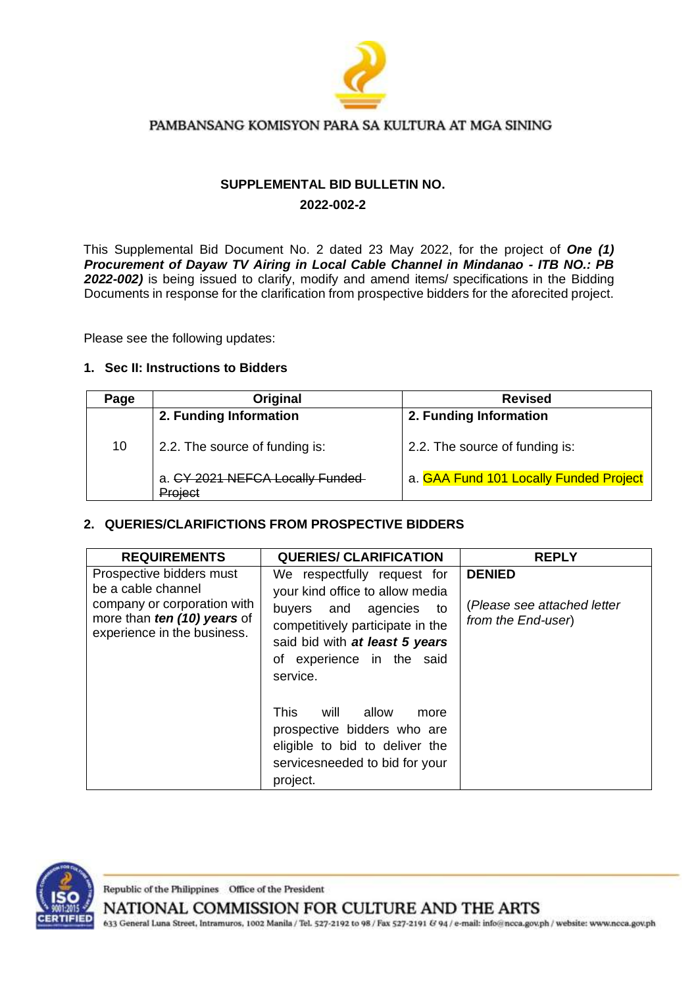

## PAMBANSANG KOMISYON PARA SA KULTURA AT MGA SINING

# **SUPPLEMENTAL BID BULLETIN NO. 2022-002-2**

This Supplemental Bid Document No. 2 dated 23 May 2022, for the project of *One (1) Procurement of Dayaw TV Airing in Local Cable Channel in Mindanao - ITB NO.: PB*  2022-002) is being issued to clarify, modify and amend items/ specifications in the Bidding Documents in response for the clarification from prospective bidders for the aforecited project.

Please see the following updates:

### **1. Sec II: Instructions to Bidders**

| Page | Original                                   | <b>Revised</b>                         |
|------|--------------------------------------------|----------------------------------------|
|      | 2. Funding Information                     | 2. Funding Information                 |
| 10   | 2.2. The source of funding is:             | 2.2. The source of funding is:         |
|      | a. CY 2021 NEFCA Locally Funded<br>Project | a. GAA Fund 101 Locally Funded Project |

# **2. QUERIES/CLARIFICTIONS FROM PROSPECTIVE BIDDERS**

| <b>REQUIREMENTS</b>                                                                                                                         | <b>QUERIES/ CLARIFICATION</b>                                                                                                                                                                           | <b>REPLY</b>                                                       |
|---------------------------------------------------------------------------------------------------------------------------------------------|---------------------------------------------------------------------------------------------------------------------------------------------------------------------------------------------------------|--------------------------------------------------------------------|
| Prospective bidders must<br>be a cable channel<br>company or corporation with<br>more than ten (10) years of<br>experience in the business. | We respectfully request for<br>your kind office to allow media<br>buyers and agencies to<br>competitively participate in the<br>said bid with at least 5 years<br>of experience in the said<br>service. | <b>DENIED</b><br>(Please see attached letter<br>from the End-user) |
|                                                                                                                                             | <b>This</b><br>will<br>allow<br>more<br>prospective bidders who are<br>eligible to bid to deliver the<br>servicesneeded to bid for your<br>project.                                                     |                                                                    |



Republic of the Philippines Office of the President

NATIONAL COMMISSION FOR CULTURE AND THE ARTS

633 General Luna Street, Intramuros, 1002 Manila / Tel. 527-2192 to 98 / Fax 527-2191 & 94 / e-mail: info@ncca.gov.ph / website: www.ncca.gov.ph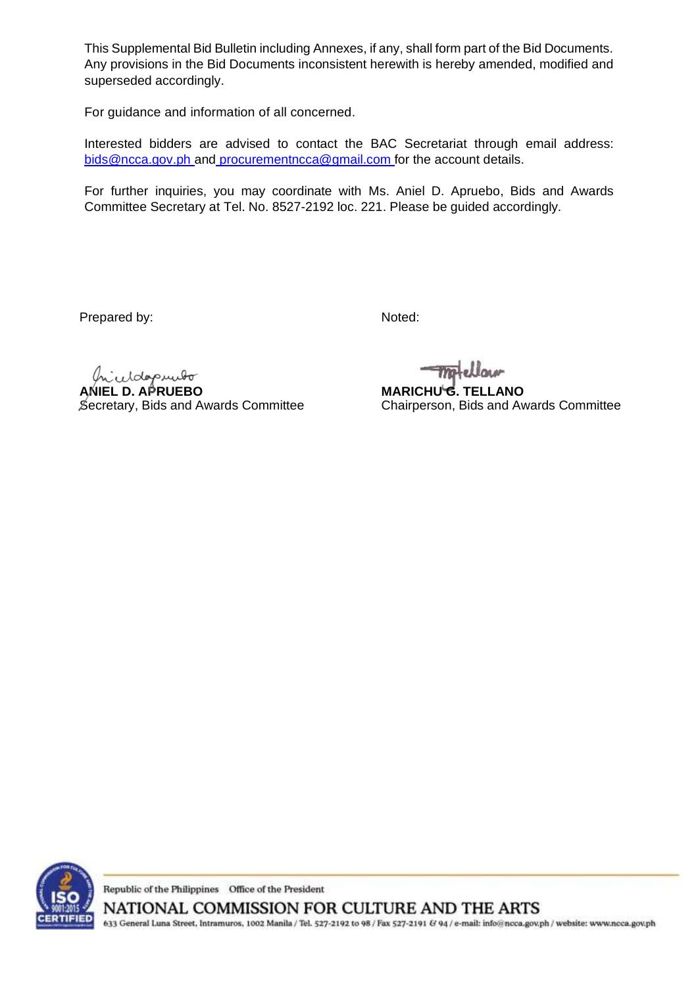This Supplemental Bid Bulletin including Annexes, if any, shall form part of the Bid Documents. Any provisions in the Bid Documents inconsistent herewith is hereby amended, modified and superseded accordingly.

For guidance and information of all concerned.

Interested bidders are advised to contact the BAC Secretariat through email address: bids@ncca.gov.ph and [procurementncca@gmail.com](mailto:bids@ncca.gov.ph%20and%20procurementncca@gmail.com) for the account details.

For further inquiries, you may coordinate with Ms. Aniel D. Apruebo, Bids and Awards Committee Secretary at Tel. No. 8527-2192 loc. 221. Please be guided accordingly.

Prepared by:

Noted:

eddapundo

**ANIEL D. APRUEBO** Secretary, Bids and Awards Committee

**MARICHU G. TELLANO** Chairperson, Bids and Awards Committee



Republic of the Philippines Office of the President NATIONAL COMMISSION FOR CULTURE AND THE ARTS

633 General Luna Street, Intramuros, 1002 Manila / Tel. 527-2192 to 98 / Fax 527-2191 & 94 / e-mail: info@ncca.gov.ph / website: www.ncca.gov.ph